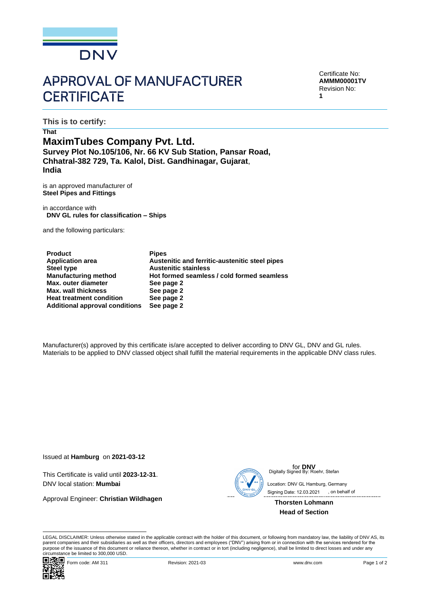

## **APPROVAL OF MANUFACTURER CERTIFICATE**

Certificate No: **AMMM00001TV** Revision No: **1**

**This is to certify:**

## **That MaximTubes Company Pvt. Ltd. Survey Plot No.105/106, Nr. 66 KV Sub Station, Pansar Road, Chhatral-382 729, Ta. Kalol, Dist. Gandhinagar, Gujarat**, **India**

is an approved manufacturer of **Steel Pipes and Fittings**

in accordance with **DNV GL rules for classification – Ships**

and the following particulars:

| <b>Product</b>                        | <b>Pipes</b>                                   |
|---------------------------------------|------------------------------------------------|
| <b>Application area</b>               | Austenitic and ferritic-austenitic steel pipes |
| Steel type                            | <b>Austenitic stainless</b>                    |
| <b>Manufacturing method</b>           | Hot formed seamless / cold formed seamless     |
| Max. outer diameter                   | See page 2                                     |
| <b>Max. wall thickness</b>            | See page 2                                     |
| <b>Heat treatment condition</b>       | See page 2                                     |
| <b>Additional approval conditions</b> | See page 2                                     |

Manufacturer(s) approved by this certificate is/are accepted to deliver according to DNV GL, DNV and GL rules. Materials to be applied to DNV classed object shall fulfill the material requirements in the applicable DNV class rules.

Issued at **Hamburg** on **2021-03-12**

This Certificate is valid until **2023-12-31**. DNV local station: **Mumbai** 

Approval Engineer: **Christian Wildhagen**



for **DNV** Digitally Signed By: Roehr, Stefan

 Signing Date: 12.03.2021 , on behalf ofLocation: DNV GL Hamburg, Germany

**Thorsten Lohmann Head of Section**

LEGAL DISCLAIMER: Unless otherwise stated in the applicable contract with the holder of this document, or following from mandatory law, the liability of DNV AS, its parent companies and their subsidiaries as well as their officers, directors and employees ("DNV") arising from or in connection with the services rendered for the purpose of the issuance of this document or reliance thereon, whether in contract or in tort (including negligence), shall be limited to direct losses and under any circumstance be limited to 300,000 USD.